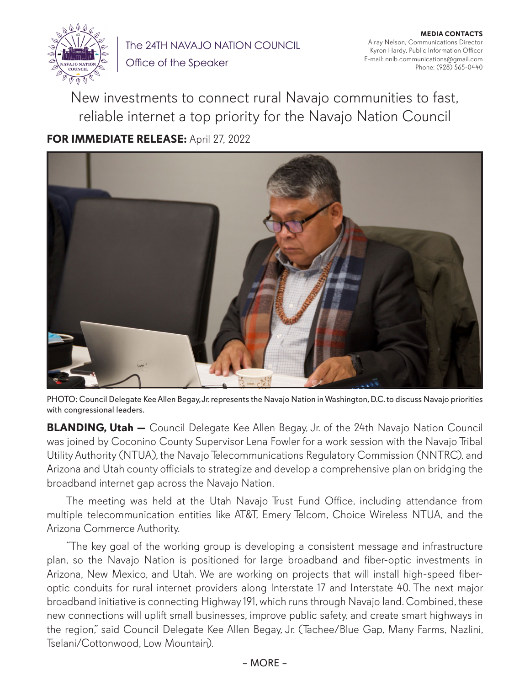

The 24TH NAVAJO NATION COUNCIL Office of the Speaker

**MEDIA CONTACTS** Alray Nelson, Communications Director Kyron Hardy, Public Information Officer E-mail: nnlb.communications@gmail.com Phone: (928) 565-0440

New investments to connect rural Navajo communities to fast, reliable internet a top priority for the Navajo Nation Council

## **FOR IMMEDIATE RELEASE:** April 27, 2022



PHOTO: Council Delegate Kee Allen Begay, Jr. represents the Navajo Nation in Washington, D.C. to discuss Navajo priorities with congressional leaders.

**BLANDING, Utah —** Council Delegate Kee Allen Begay, Jr. of the 24th Navajo Nation Council was joined by Coconino County Supervisor Lena Fowler for a work session with the Navajo Tribal Utility Authority (NTUA), the Navajo Telecommunications Regulatory Commission (NNTRC), and Arizona and Utah county officials to strategize and develop a comprehensive plan on bridging the broadband internet gap across the Navajo Nation.

The meeting was held at the Utah Navajo Trust Fund Office, including attendance from multiple telecommunication entities like AT&T, Emery Telcom, Choice Wireless NTUA, and the Arizona Commerce Authority.

"The key goal of the working group is developing a consistent message and infrastructure plan, so the Navajo Nation is positioned for large broadband and fiber-optic investments in Arizona, New Mexico, and Utah. We are working on projects that will install high-speed fiberoptic conduits for rural internet providers along Interstate 17 and Interstate 40. The next major broadband initiative is connecting Highway 191, which runs through Navajo land. Combined, these new connections will uplift small businesses, improve public safety, and create smart highways in the region," said Council Delegate Kee Allen Begay, Jr. (Tachee/Blue Gap, Many Farms, Nazlini, Tselani/Cottonwood, Low Mountain).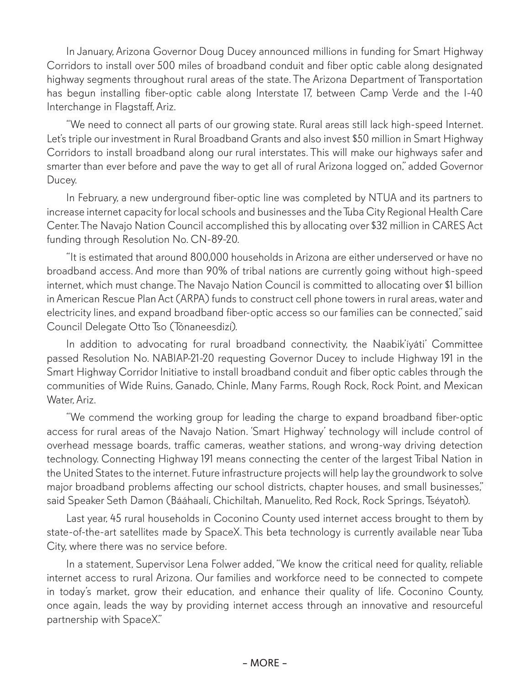In January, Arizona Governor Doug Ducey announced millions in funding for Smart Highway Corridors to install over 500 miles of broadband conduit and fiber optic cable along designated highway segments throughout rural areas of the state. The Arizona Department of Transportation has begun installing fiber-optic cable along Interstate 17, between Camp Verde and the I-40 Interchange in Flagstaff, Ariz.

"We need to connect all parts of our growing state. Rural areas still lack high-speed Internet. Let's triple our investment in Rural Broadband Grants and also invest \$50 million in Smart Highway Corridors to install broadband along our rural interstates. This will make our highways safer and smarter than ever before and pave the way to get all of rural Arizona logged on," added Governor Ducey.

In February, a new underground fiber-optic line was completed by NTUA and its partners to increase internet capacity for local schools and businesses and the Tuba City Regional Health Care Center. The Navajo Nation Council accomplished this by allocating over \$32 million in CARES Act funding through Resolution No. CN-89-20.

"It is estimated that around 800,000 households in Arizona are either underserved or have no broadband access. And more than 90% of tribal nations are currently going without high-speed internet, which must change. The Navajo Nation Council is committed to allocating over \$1 billion in American Rescue Plan Act (ARPA) funds to construct cell phone towers in rural areas, water and electricity lines, and expand broadband fiber-optic access so our families can be connected," said Council Delegate Otto Tso (Tónaneesdizí).

In addition to advocating for rural broadband connectivity, the Naabik'íyáti' Committee passed Resolution No. NABIAP-21-20 requesting Governor Ducey to include Highway 191 in the Smart Highway Corridor Initiative to install broadband conduit and fiber optic cables through the communities of Wide Ruins, Ganado, Chinle, Many Farms, Rough Rock, Rock Point, and Mexican Water, Ariz.

"We commend the working group for leading the charge to expand broadband fiber-optic access for rural areas of the Navajo Nation. 'Smart Highway' technology will include control of overhead message boards, traffic cameras, weather stations, and wrong-way driving detection technology. Connecting Highway 191 means connecting the center of the largest Tribal Nation in the United States to the internet. Future infrastructure projects will help lay the groundwork to solve major broadband problems affecting our school districts, chapter houses, and small businesses," said Speaker Seth Damon (Bááhaalí, Chichiltah, Manuelito, Red Rock, Rock Springs, Tséyatoh).

Last year, 45 rural households in Coconino County used internet access brought to them by state-of-the-art satellites made by SpaceX. This beta technology is currently available near Tuba City, where there was no service before.

In a statement, Supervisor Lena Folwer added, "We know the critical need for quality, reliable internet access to rural Arizona. Our families and workforce need to be connected to compete in today's market, grow their education, and enhance their quality of life. Coconino County, once again, leads the way by providing internet access through an innovative and resourceful partnership with SpaceX."